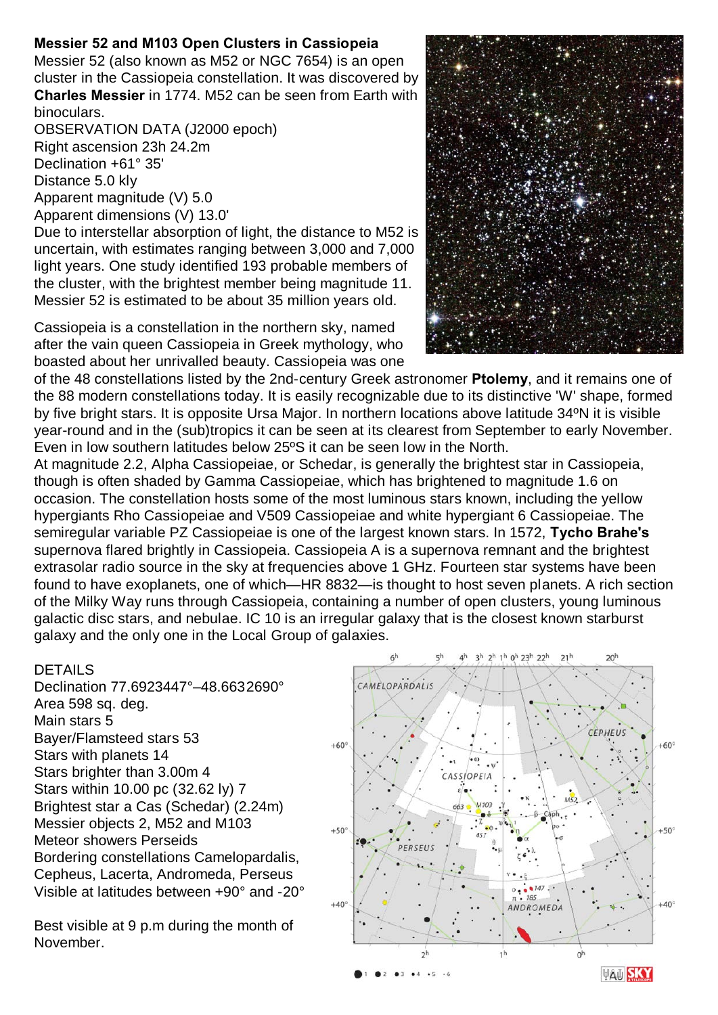## **Messier 52 and M103 Open Clusters in Cassiopeia**

Messier 52 (also known as M52 or NGC 7654) is an open cluster in the Cassiopeia constellation. It was discovered by **Charles Messier** in 1774. M52 can be seen from Earth with binoculars.

OBSERVATION DATA (J2000 epoch) Right ascension 23h 24.2m Declination +61° 35' Distance 5.0 kly Apparent magnitude (V) 5.0 Apparent dimensions (V) 13.0'

Due to interstellar absorption of light, the distance to M52 is uncertain, with estimates ranging between 3,000 and 7,000 light years. One study identified 193 probable members of the cluster, with the brightest member being magnitude 11. Messier 52 is estimated to be about 35 million years old.

Cassiopeia is a constellation in the northern sky, named after the vain queen Cassiopeia in Greek mythology, who boasted about her unrivalled beauty. Cassiopeia was one



of the 48 constellations listed by the 2nd-century Greek astronomer **Ptolemy**, and it remains one of the 88 modern constellations today. It is easily recognizable due to its distinctive 'W' shape, formed by five bright stars. It is opposite Ursa Major. In northern locations above latitude 34ºN it is visible year-round and in the (sub)tropics it can be seen at its clearest from September to early November. Even in low southern latitudes below 25ºS it can be seen low in the North.

At magnitude 2.2, Alpha Cassiopeiae, or Schedar, is generally the brightest star in Cassiopeia, though is often shaded by Gamma Cassiopeiae, which has brightened to magnitude 1.6 on occasion. The constellation hosts some of the most luminous stars known, including the yellow hypergiants Rho Cassiopeiae and V509 Cassiopeiae and white hypergiant 6 Cassiopeiae. The semiregular variable PZ Cassiopeiae is one of the largest known stars. In 1572, **Tycho Brahe's** supernova flared brightly in Cassiopeia. Cassiopeia A is a supernova remnant and the brightest extrasolar radio source in the sky at frequencies above 1 GHz. Fourteen star systems have been found to have exoplanets, one of which—HR 8832—is thought to host seven planets. A rich section of the Milky Way runs through Cassiopeia, containing a number of open clusters, young luminous galactic disc stars, and nebulae. IC 10 is an irregular galaxy that is the closest known starburst galaxy and the only one in the Local Group of galaxies.

## DETAILS

Declination 77.6923447°–48.6632690° Area 598 sq. deg. Main stars 5 Bayer/Flamsteed stars 53 Stars with planets 14 Stars brighter than 3.00m 4 Stars within 10.00 pc (32.62 ly) 7 Brightest star a Cas (Schedar) (2.24m) Messier objects 2, M52 and M103 Meteor showers Perseids Bordering constellations Camelopardalis, Cepheus, Lacerta, Andromeda, Perseus Visible at latitudes between +90° and -20°

Best visible at 9 p.m during the month of November.